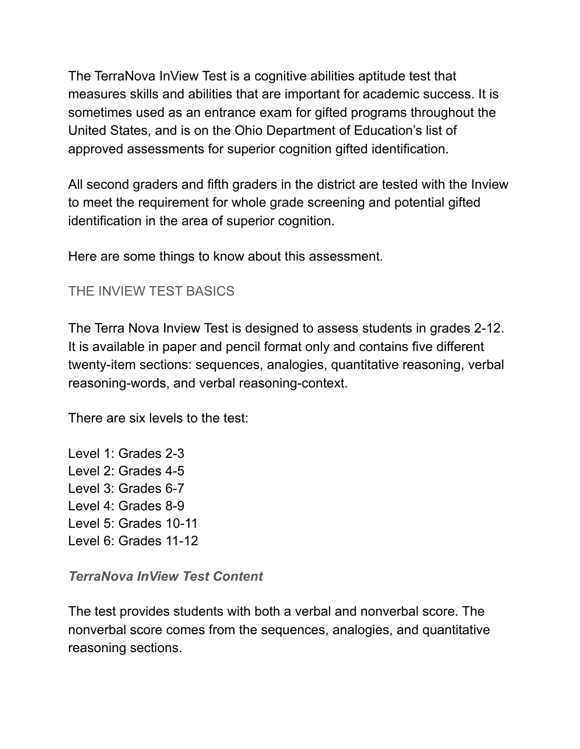The TerraNova InView Test is a cognitive abilities aptitude test that measures skills and abilities that are important for academic success. It is sometimes used as an entrance exam for gifted programs throughout the United States, and is on the Ohio Department of Education's list of approved assessments for superior cognition gifted identification.

All second graders and fifth graders in the district are tested with the Inview to meet the requirement for whole grade screening and potential gifted identification in the area of superior cognition.

Here are some things to know about this assessment.

## THE INVIEW TEST BASICS

The Terra Nova Inview Test is designed to assess students in grades 2-12. It is available in paper and pencil format only and contains five different twenty-item sections: sequences, analogies, quantitative reasoning, verbal reasoning-words, and verbal reasoning-context.

There are six levels to the test:

Level 1: Grades 2-3 Level 2: Grades 4-5 Level 3: Grades 6-7 Level 4: Grades 8-9 Level 5: Grades 10-11 Level 6: Grades 11-12

#### *TerraNova InView Test Content*

The test provides students with both a verbal and nonverbal score. The nonverbal score comes from the sequences, analogies, and quantitative reasoning sections.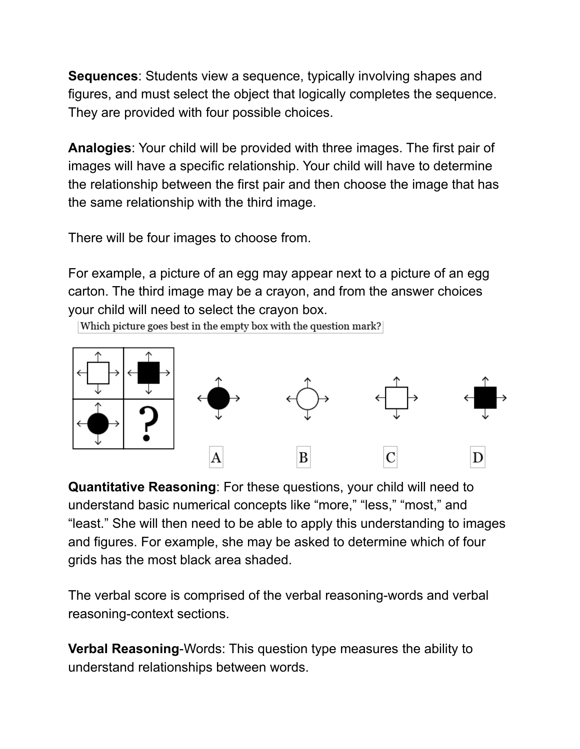**Sequences**: Students view a sequence, typically involving shapes and figures, and must select the object that logically completes the sequence. They are provided with four possible choices.

**Analogies**: Your child will be provided with three images. The first pair of images will have a specific relationship. Your child will have to determine the relationship between the first pair and then choose the image that has the same relationship with the third image.

There will be four images to choose from.

For example, a picture of an egg may appear next to a picture of an egg carton. The third image may be a crayon, and from the answer choices your child will need to select the crayon box.

Which picture goes best in the empty box with the question mark?



**Quantitative Reasoning**: For these questions, your child will need to understand basic numerical concepts like "more," "less," "most," and "least." She will then need to be able to apply this understanding to images and figures. For example, she may be asked to determine which of four grids has the most black area shaded.

The verbal score is comprised of the verbal reasoning-words and verbal reasoning-context sections.

**Verbal Reasoning**-Words: This question type measures the ability to understand relationships between words.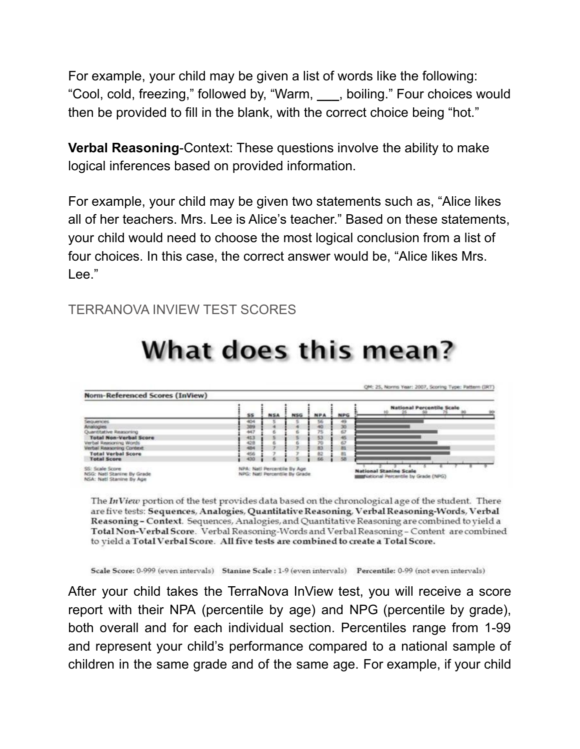For example, your child may be given a list of words like the following: "Cool, cold, freezing," followed by, "Warm, **\_\_\_**, boiling." Four choices would then be provided to fill in the blank, with the correct choice being "hot."

**Verbal Reasoning**-Context: These questions involve the ability to make logical inferences based on provided information.

For example, your child may be given two statements such as, "Alice likes all of her teachers. Mrs. Lee is Alice's teacher." Based on these statements, your child would need to choose the most logical conclusion from a list of four choices. In this case, the correct answer would be, "Alice likes Mrs. Lee."

#### TERRANOVA INVIEW TEST SCORES



# What does this mean?

The InView portion of the test provides data based on the chronological age of the student. There are five tests: Sequences, Analogies, Quantitative Reasoning, Verbal Reasoning-Words, Verbal Reasoning - Context. Sequences, Analogies, and Quantitative Reasoning are combined to yield a Total Non-Verbal Score. Verbal Reasoning-Words and Verbal Reasoning - Content are combined to yield a Total Verbal Score. All five tests are combined to create a Total Score.

Scale Score: 0-999 (even intervals) Stanine Scale : 1-9 (even intervals) Percentile: 0-99 (not even intervals)

After your child takes the TerraNova InView test, you will receive a score report with their NPA (percentile by age) and NPG (percentile by grade), both overall and for each individual section. Percentiles range from 1-99 and represent your child's performance compared to a national sample of children in the same grade and of the same age. For example, if your child